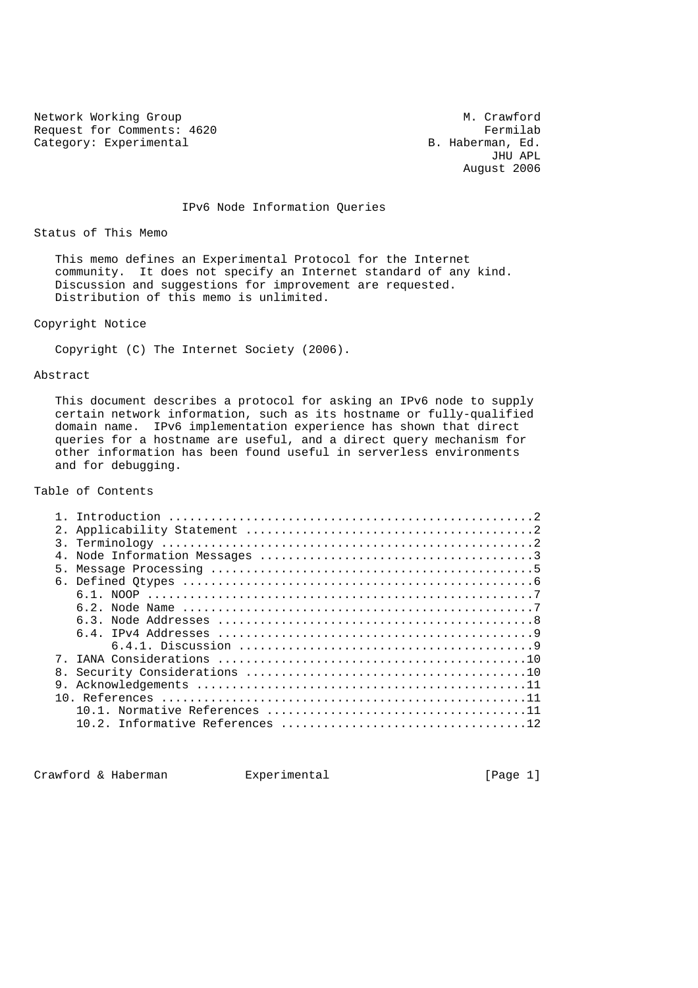Network Working Group M. Crawford Request for Comments: 4620 Fermilab<br>Category: Experimental B. Haberman, Ed.

Category: Experimental B. Haberman, Ed. (3) Experimental B. Haberman, Ed. (3) Eq. (3) Category: Experimental JHU APL August 2006

IPv6 Node Information Queries

Status of This Memo

 This memo defines an Experimental Protocol for the Internet community. It does not specify an Internet standard of any kind. Discussion and suggestions for improvement are requested. Distribution of this memo is unlimited.

Copyright Notice

Copyright (C) The Internet Society (2006).

# Abstract

 This document describes a protocol for asking an IPv6 node to supply certain network information, such as its hostname or fully-qualified domain name. IPv6 implementation experience has shown that direct queries for a hostname are useful, and a direct query mechanism for other information has been found useful in serverless environments and for debugging.

# Table of Contents

| 5. |  |
|----|--|
|    |  |
|    |  |
|    |  |
|    |  |
|    |  |
|    |  |
|    |  |
| 8. |  |
|    |  |
|    |  |
|    |  |
|    |  |
|    |  |

Crawford & Haberman Experimental Crawford & Haberman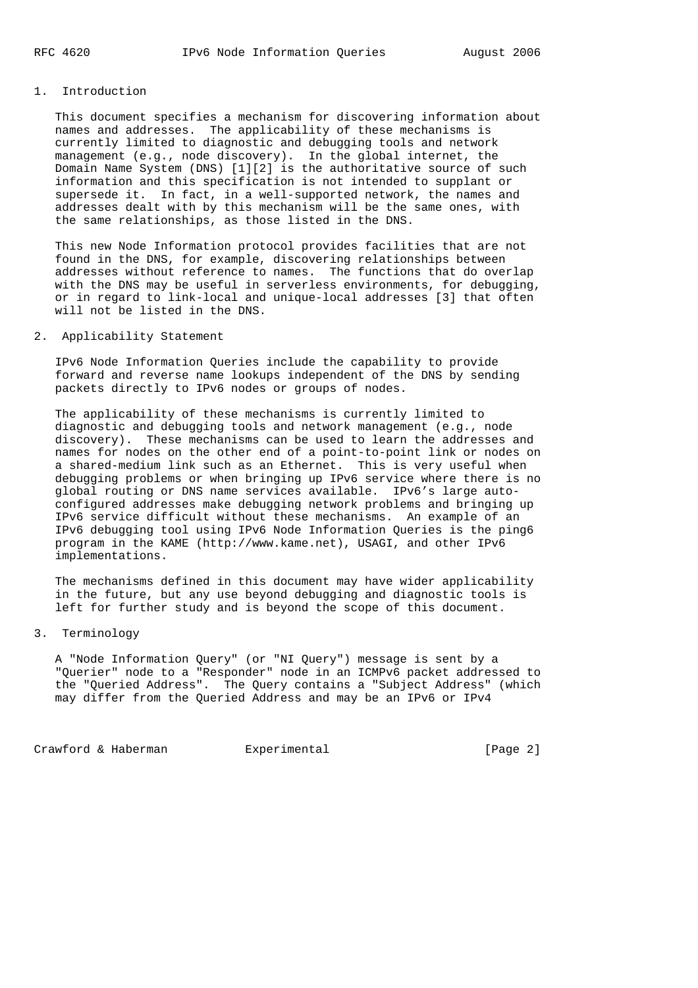# 1. Introduction

 This document specifies a mechanism for discovering information about names and addresses. The applicability of these mechanisms is currently limited to diagnostic and debugging tools and network management (e.g., node discovery). In the global internet, the Domain Name System (DNS) [1][2] is the authoritative source of such information and this specification is not intended to supplant or supersede it. In fact, in a well-supported network, the names and addresses dealt with by this mechanism will be the same ones, with the same relationships, as those listed in the DNS.

 This new Node Information protocol provides facilities that are not found in the DNS, for example, discovering relationships between addresses without reference to names. The functions that do overlap with the DNS may be useful in serverless environments, for debugging, or in regard to link-local and unique-local addresses [3] that often will not be listed in the DNS.

# 2. Applicability Statement

 IPv6 Node Information Queries include the capability to provide forward and reverse name lookups independent of the DNS by sending packets directly to IPv6 nodes or groups of nodes.

 The applicability of these mechanisms is currently limited to diagnostic and debugging tools and network management (e.g., node discovery). These mechanisms can be used to learn the addresses and names for nodes on the other end of a point-to-point link or nodes on a shared-medium link such as an Ethernet. This is very useful when debugging problems or when bringing up IPv6 service where there is no global routing or DNS name services available. IPv6's large auto configured addresses make debugging network problems and bringing up IPv6 service difficult without these mechanisms. An example of an IPv6 debugging tool using IPv6 Node Information Queries is the ping6 program in the KAME (http://www.kame.net), USAGI, and other IPv6 implementations.

 The mechanisms defined in this document may have wider applicability in the future, but any use beyond debugging and diagnostic tools is left for further study and is beyond the scope of this document.

# 3. Terminology

 A "Node Information Query" (or "NI Query") message is sent by a "Querier" node to a "Responder" node in an ICMPv6 packet addressed to the "Queried Address". The Query contains a "Subject Address" (which may differ from the Queried Address and may be an IPv6 or IPv4

Crawford & Haberman Experimental **Experimental** [Page 2]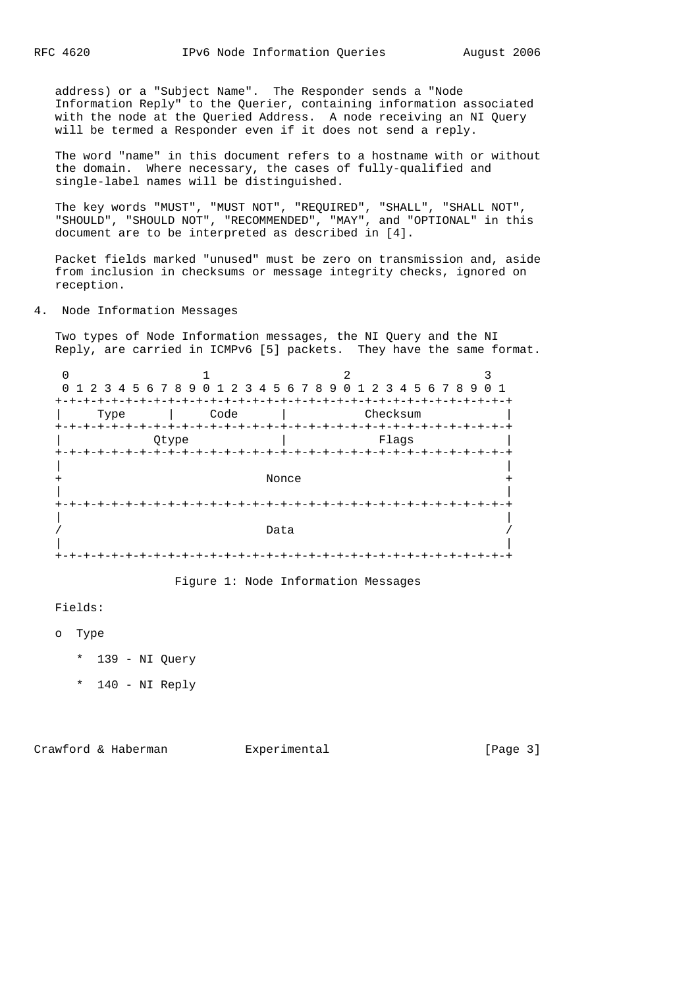address) or a "Subject Name". The Responder sends a "Node Information Reply" to the Querier, containing information associated with the node at the Queried Address. A node receiving an NI Query will be termed a Responder even if it does not send a reply.

 The word "name" in this document refers to a hostname with or without the domain. Where necessary, the cases of fully-qualified and single-label names will be distinguished.

 The key words "MUST", "MUST NOT", "REQUIRED", "SHALL", "SHALL NOT", "SHOULD", "SHOULD NOT", "RECOMMENDED", "MAY", and "OPTIONAL" in this document are to be interpreted as described in [4].

 Packet fields marked "unused" must be zero on transmission and, aside from inclusion in checksums or message integrity checks, ignored on reception.

4. Node Information Messages

 Two types of Node Information messages, the NI Query and the NI Reply, are carried in ICMPv6 [5] packets. They have the same format.

|      |       | 0 1 2 3 4 5 6 7 8 9 0 1 2 3 4 5 6 7 8 9 0 1 2 3 4 5 6 7 8 9 0 1 |  |
|------|-------|-----------------------------------------------------------------|--|
| Type | Code  | Checksum                                                        |  |
|      | Otype | Flaqs                                                           |  |
|      |       | Nonce                                                           |  |
|      |       |                                                                 |  |
|      |       | Data                                                            |  |
|      |       |                                                                 |  |

Figure 1: Node Information Messages

Fields:

o Type

- \* 139 NI Query
- \* 140 NI Reply

Crawford & Haberman Experimental Figure 21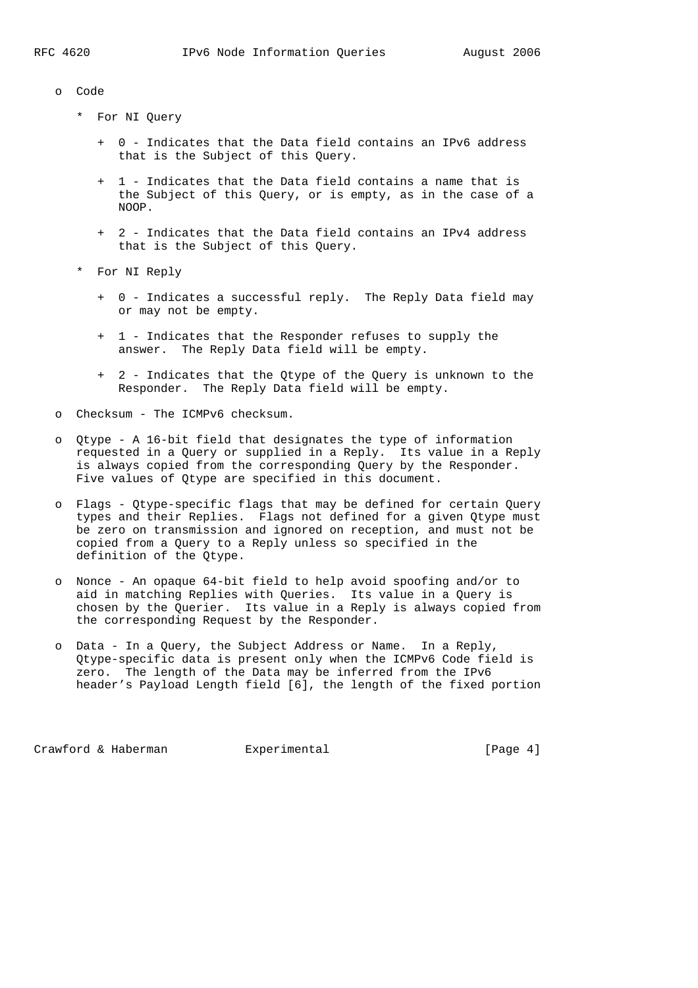|  | Code |  |
|--|------|--|
|  |      |  |

- \* For NI Query
	- + 0 Indicates that the Data field contains an IPv6 address that is the Subject of this Query.
	- + 1 Indicates that the Data field contains a name that is the Subject of this Query, or is empty, as in the case of a NOOP.
	- + 2 Indicates that the Data field contains an IPv4 address that is the Subject of this Query.
- \* For NI Reply
	- + 0 Indicates a successful reply. The Reply Data field may or may not be empty.
	- + 1 Indicates that the Responder refuses to supply the answer. The Reply Data field will be empty.
	- + 2 Indicates that the Qtype of the Query is unknown to the Responder. The Reply Data field will be empty.
- o Checksum The ICMPv6 checksum.
- o Qtype A 16-bit field that designates the type of information requested in a Query or supplied in a Reply. Its value in a Reply is always copied from the corresponding Query by the Responder. Five values of Qtype are specified in this document.
- o Flags Qtype-specific flags that may be defined for certain Query types and their Replies. Flags not defined for a given Qtype must be zero on transmission and ignored on reception, and must not be copied from a Query to a Reply unless so specified in the definition of the Qtype.
- o Nonce An opaque 64-bit field to help avoid spoofing and/or to aid in matching Replies with Queries. Its value in a Query is chosen by the Querier. Its value in a Reply is always copied from the corresponding Request by the Responder.
- o Data In a Query, the Subject Address or Name. In a Reply, Qtype-specific data is present only when the ICMPv6 Code field is zero. The length of the Data may be inferred from the IPv6 header's Payload Length field [6], the length of the fixed portion

Crawford & Haberman Experimental Crawford & Haberman Experimental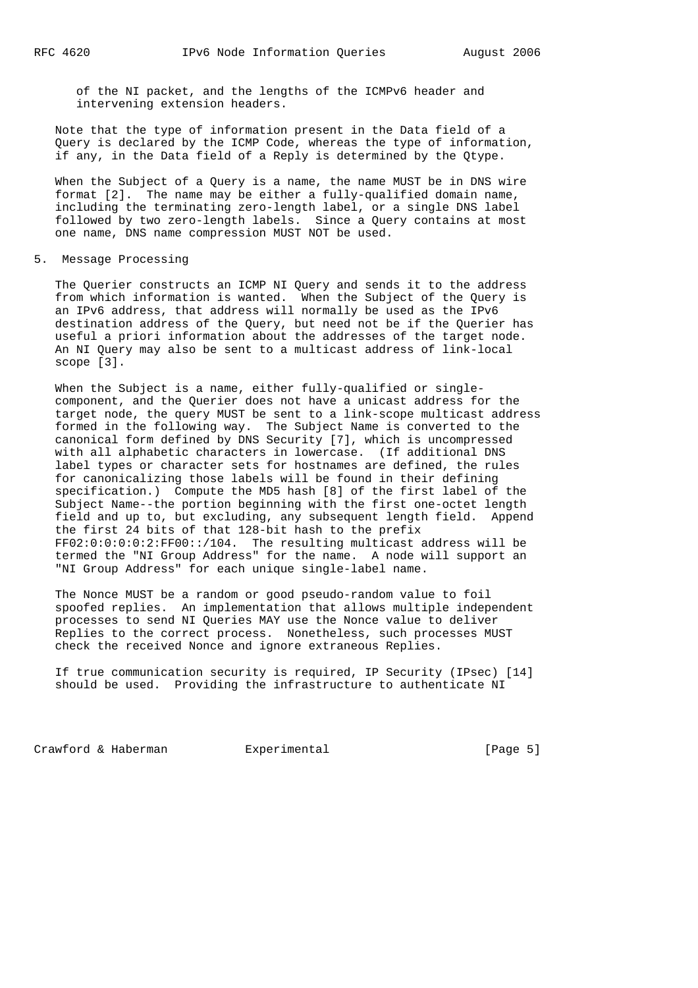of the NI packet, and the lengths of the ICMPv6 header and intervening extension headers.

 Note that the type of information present in the Data field of a Query is declared by the ICMP Code, whereas the type of information, if any, in the Data field of a Reply is determined by the Qtype.

 When the Subject of a Query is a name, the name MUST be in DNS wire format [2]. The name may be either a fully-qualified domain name, including the terminating zero-length label, or a single DNS label followed by two zero-length labels. Since a Query contains at most one name, DNS name compression MUST NOT be used.

#### 5. Message Processing

 The Querier constructs an ICMP NI Query and sends it to the address from which information is wanted. When the Subject of the Query is an IPv6 address, that address will normally be used as the IPv6 destination address of the Query, but need not be if the Querier has useful a priori information about the addresses of the target node. An NI Query may also be sent to a multicast address of link-local scope [3].

When the Subject is a name, either fully-qualified or single component, and the Querier does not have a unicast address for the target node, the query MUST be sent to a link-scope multicast address formed in the following way. The Subject Name is converted to the canonical form defined by DNS Security [7], which is uncompressed with all alphabetic characters in lowercase. (If additional DNS label types or character sets for hostnames are defined, the rules for canonicalizing those labels will be found in their defining specification.) Compute the MD5 hash [8] of the first label of the Subject Name--the portion beginning with the first one-octet length field and up to, but excluding, any subsequent length field. Append the first 24 bits of that 128-bit hash to the prefix FF02:0:0:0:0:2:FF00::/104. The resulting multicast address will be termed the "NI Group Address" for the name. A node will support an "NI Group Address" for each unique single-label name.

 The Nonce MUST be a random or good pseudo-random value to foil spoofed replies. An implementation that allows multiple independent processes to send NI Queries MAY use the Nonce value to deliver Replies to the correct process. Nonetheless, such processes MUST check the received Nonce and ignore extraneous Replies.

 If true communication security is required, IP Security (IPsec) [14] should be used. Providing the infrastructure to authenticate NI

Crawford & Haberman Experimental Crawford & Fage 5]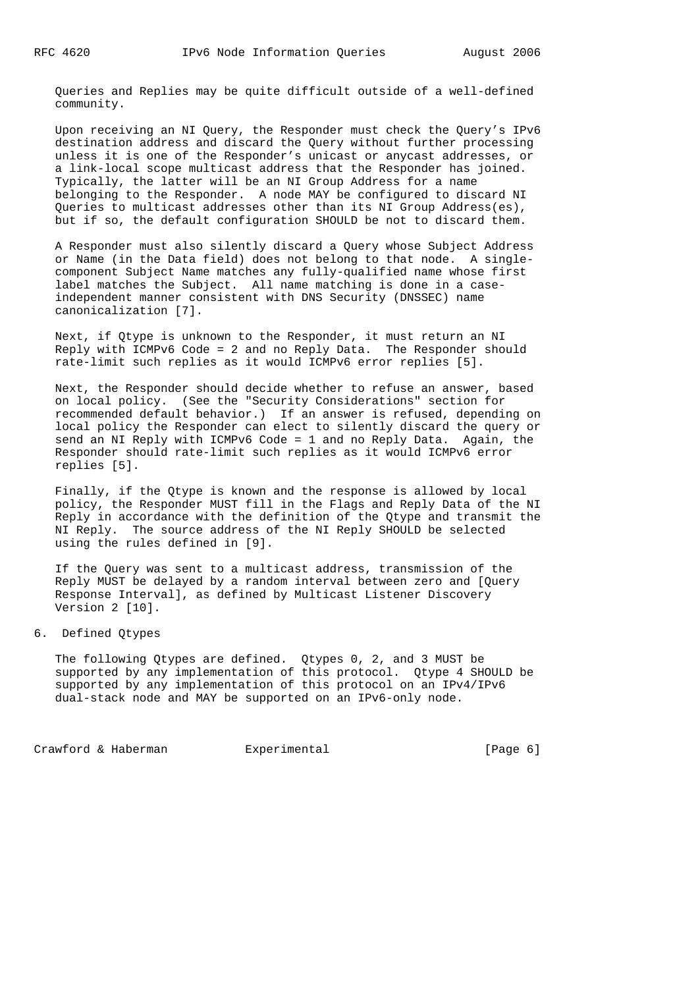Queries and Replies may be quite difficult outside of a well-defined community.

 Upon receiving an NI Query, the Responder must check the Query's IPv6 destination address and discard the Query without further processing unless it is one of the Responder's unicast or anycast addresses, or a link-local scope multicast address that the Responder has joined. Typically, the latter will be an NI Group Address for a name belonging to the Responder. A node MAY be configured to discard NI Queries to multicast addresses other than its NI Group Address(es), but if so, the default configuration SHOULD be not to discard them.

 A Responder must also silently discard a Query whose Subject Address or Name (in the Data field) does not belong to that node. A single component Subject Name matches any fully-qualified name whose first label matches the Subject. All name matching is done in a case independent manner consistent with DNS Security (DNSSEC) name canonicalization [7].

 Next, if Qtype is unknown to the Responder, it must return an NI Reply with ICMPv6 Code = 2 and no Reply Data. The Responder should rate-limit such replies as it would ICMPv6 error replies [5].

 Next, the Responder should decide whether to refuse an answer, based on local policy. (See the "Security Considerations" section for recommended default behavior.) If an answer is refused, depending on local policy the Responder can elect to silently discard the query or send an NI Reply with ICMPv6 Code = 1 and no Reply Data. Again, the Responder should rate-limit such replies as it would ICMPv6 error replies [5].

 Finally, if the Qtype is known and the response is allowed by local policy, the Responder MUST fill in the Flags and Reply Data of the NI Reply in accordance with the definition of the Qtype and transmit the NI Reply. The source address of the NI Reply SHOULD be selected using the rules defined in [9].

 If the Query was sent to a multicast address, transmission of the Reply MUST be delayed by a random interval between zero and [Query Response Interval], as defined by Multicast Listener Discovery Version 2 [10].

# 6. Defined Qtypes

 The following Qtypes are defined. Qtypes 0, 2, and 3 MUST be supported by any implementation of this protocol. Qtype 4 SHOULD be supported by any implementation of this protocol on an IPv4/IPv6 dual-stack node and MAY be supported on an IPv6-only node.

Crawford & Haberman Experimental Crawford & Haberman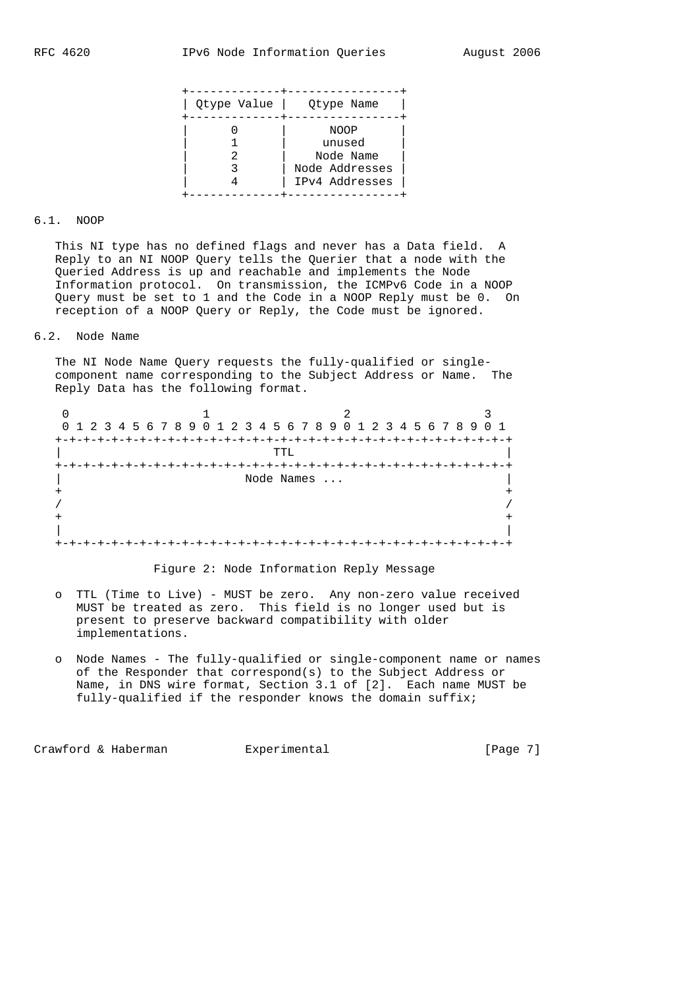|  | NOOP<br>unused              |
|--|-----------------------------|
|  | Node Name<br>Node Addresses |
|  | IPv4 Addresses              |

#### 6.1. NOOP

 This NI type has no defined flags and never has a Data field. A Reply to an NI NOOP Query tells the Querier that a node with the Queried Address is up and reachable and implements the Node Information protocol. On transmission, the ICMPv6 Code in a NOOP Query must be set to 1 and the Code in a NOOP Reply must be 0. On reception of a NOOP Query or Reply, the Code must be ignored.

### 6.2. Node Name

 The NI Node Name Query requests the fully-qualified or single component name corresponding to the Subject Address or Name. The Reply Data has the following format.

| 0 1 2 3 4 5 6 7 8 9 0 1 2 3 4 5 6 7 8 9 0 1 2 3 4 5 6 7 8 9 0 1    |      |  |  |  |  |  |  |  |  |  |  |  |  |  |  |
|--------------------------------------------------------------------|------|--|--|--|--|--|--|--|--|--|--|--|--|--|--|
| $+ \cdot$                                                          |      |  |  |  |  |  |  |  |  |  |  |  |  |  |  |
|                                                                    | TTT. |  |  |  |  |  |  |  |  |  |  |  |  |  |  |
| -+-+-+-+-+-+-+-+-+-+-+-+-+-+-+-+-+-<br>$+ - + - + - + - + - + - +$ |      |  |  |  |  |  |  |  |  |  |  |  |  |  |  |
| Node Names                                                         |      |  |  |  |  |  |  |  |  |  |  |  |  |  |  |
|                                                                    |      |  |  |  |  |  |  |  |  |  |  |  |  |  |  |
|                                                                    |      |  |  |  |  |  |  |  |  |  |  |  |  |  |  |
|                                                                    |      |  |  |  |  |  |  |  |  |  |  |  |  |  |  |
|                                                                    |      |  |  |  |  |  |  |  |  |  |  |  |  |  |  |
|                                                                    |      |  |  |  |  |  |  |  |  |  |  |  |  |  |  |

# Figure 2: Node Information Reply Message

- o TTL (Time to Live) MUST be zero. Any non-zero value received MUST be treated as zero. This field is no longer used but is present to preserve backward compatibility with older implementations.
- o Node Names The fully-qualified or single-component name or names of the Responder that correspond(s) to the Subject Address or Name, in DNS wire format, Section 3.1 of [2]. Each name MUST be fully-qualified if the responder knows the domain suffix;

Crawford & Haberman Experimental [Page 7]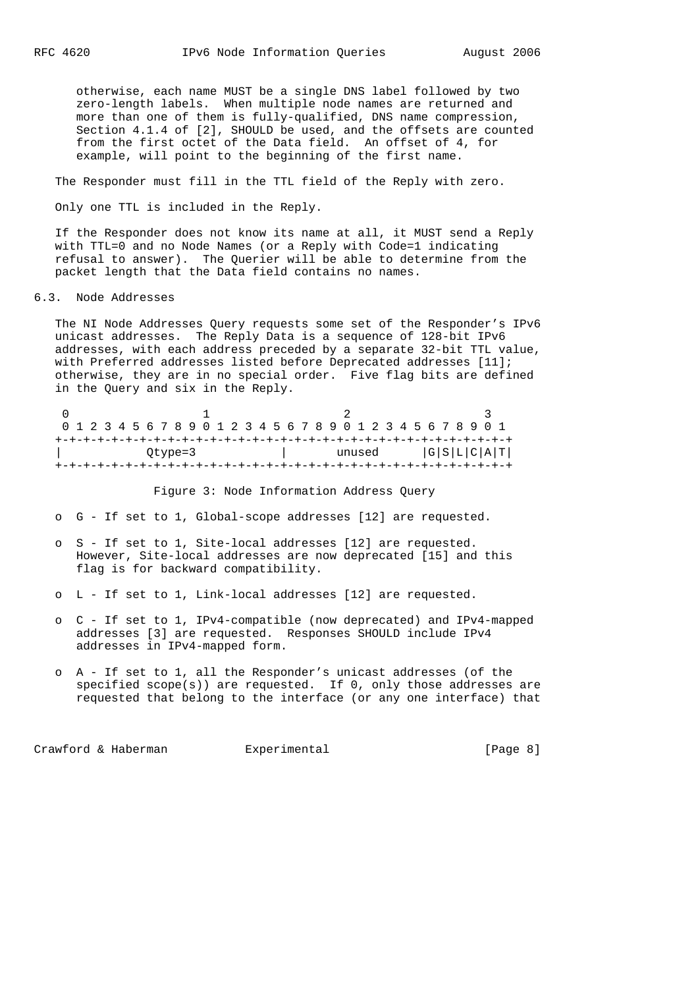otherwise, each name MUST be a single DNS label followed by two zero-length labels. When multiple node names are returned and more than one of them is fully-qualified, DNS name compression, Section 4.1.4 of [2], SHOULD be used, and the offsets are counted from the first octet of the Data field. An offset of 4, for example, will point to the beginning of the first name.

The Responder must fill in the TTL field of the Reply with zero.

Only one TTL is included in the Reply.

 If the Responder does not know its name at all, it MUST send a Reply with TTL=0 and no Node Names (or a Reply with Code=1 indicating refusal to answer). The Querier will be able to determine from the packet length that the Data field contains no names.

#### 6.3. Node Addresses

 The NI Node Addresses Query requests some set of the Responder's IPv6 unicast addresses. The Reply Data is a sequence of 128-bit IPv6 addresses, with each address preceded by a separate 32-bit TTL value, with Preferred addresses listed before Deprecated addresses [11]; otherwise, they are in no special order. Five flag bits are defined in the Query and six in the Reply.

| 0 1 2 3 4 5 6 7 8 9 0 1 2 3 4 5 6 7 8 9 0 1 2 3 4 5 6 7 8 9 0 1<br>Qtype=3 |  |  |  |  |  |  |  |  |  | G S L C A T <br>unused |  |  |  |  |  |  |  |  |  |  |  |  |  |  |  |
|----------------------------------------------------------------------------|--|--|--|--|--|--|--|--|--|------------------------|--|--|--|--|--|--|--|--|--|--|--|--|--|--|--|
|                                                                            |  |  |  |  |  |  |  |  |  |                        |  |  |  |  |  |  |  |  |  |  |  |  |  |  |  |

Figure 3: Node Information Address Query

o G - If set to 1, Global-scope addresses [12] are requested.

- o S If set to 1, Site-local addresses [12] are requested. However, Site-local addresses are now deprecated [15] and this flag is for backward compatibility.
- o L If set to 1, Link-local addresses [12] are requested.
- o C If set to 1, IPv4-compatible (now deprecated) and IPv4-mapped addresses [3] are requested. Responses SHOULD include IPv4 addresses in IPv4-mapped form.
- o A If set to 1, all the Responder's unicast addresses (of the specified  $score(s)$  are requested. If  $0$ , only those addresses are requested that belong to the interface (or any one interface) that

Crawford & Haberman Experimental Crawford & Haberman Experimental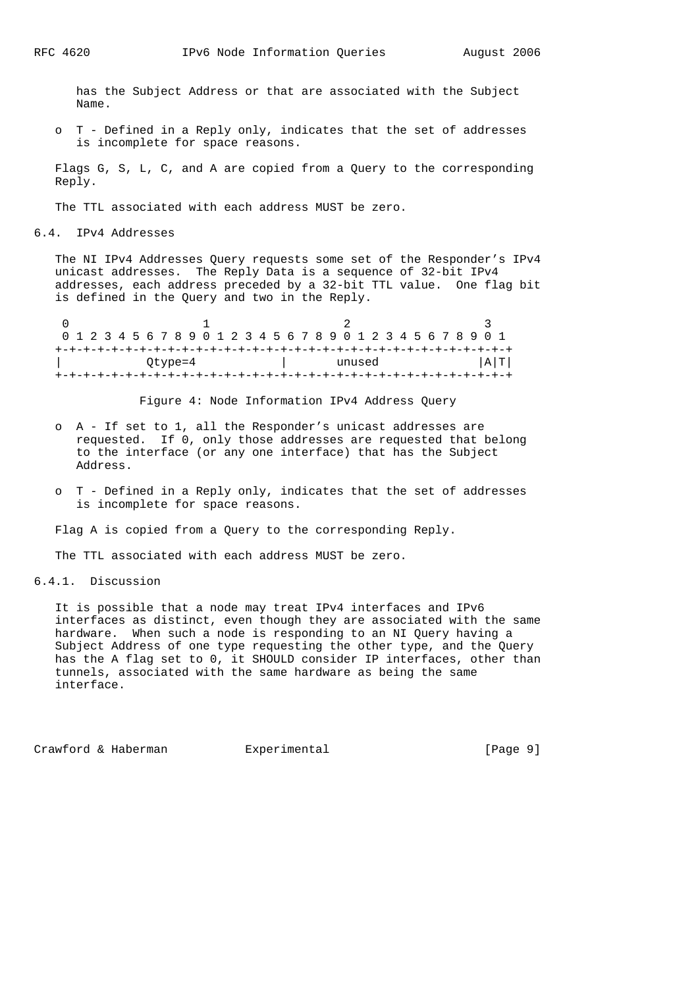has the Subject Address or that are associated with the Subject Name.

 o T - Defined in a Reply only, indicates that the set of addresses is incomplete for space reasons.

 Flags G, S, L, C, and A are copied from a Query to the corresponding Reply.

The TTL associated with each address MUST be zero.

6.4. IPv4 Addresses

 The NI IPv4 Addresses Query requests some set of the Responder's IPv4 unicast addresses. The Reply Data is a sequence of 32-bit IPv4 addresses, each address preceded by a 32-bit TTL value. One flag bit is defined in the Query and two in the Reply.

| 0 1 2 3 4 5 6 7 8 9 0 1 2 3 4 5 6 7 8 9 0 1 2 3 4 5 6 7 8 9 0 1 |  |  |  |  |  |  |  |  |  |  |        |  |  |  |  |  |  |  |  |     |  |  |  |  |  |  |
|-----------------------------------------------------------------|--|--|--|--|--|--|--|--|--|--|--------|--|--|--|--|--|--|--|--|-----|--|--|--|--|--|--|
|                                                                 |  |  |  |  |  |  |  |  |  |  |        |  |  |  |  |  |  |  |  |     |  |  |  |  |  |  |
| Qtype=4                                                         |  |  |  |  |  |  |  |  |  |  | unused |  |  |  |  |  |  |  |  | A T |  |  |  |  |  |  |
|                                                                 |  |  |  |  |  |  |  |  |  |  |        |  |  |  |  |  |  |  |  |     |  |  |  |  |  |  |

Figure 4: Node Information IPv4 Address Query

- o A If set to 1, all the Responder's unicast addresses are requested. If 0, only those addresses are requested that belong to the interface (or any one interface) that has the Subject Address.
- o T Defined in a Reply only, indicates that the set of addresses is incomplete for space reasons.

Flag A is copied from a Query to the corresponding Reply.

The TTL associated with each address MUST be zero.

## 6.4.1. Discussion

 It is possible that a node may treat IPv4 interfaces and IPv6 interfaces as distinct, even though they are associated with the same hardware. When such a node is responding to an NI Query having a Subject Address of one type requesting the other type, and the Query has the A flag set to 0, it SHOULD consider IP interfaces, other than tunnels, associated with the same hardware as being the same interface.

Crawford & Haberman Experimental Crawford & Haberman Experimental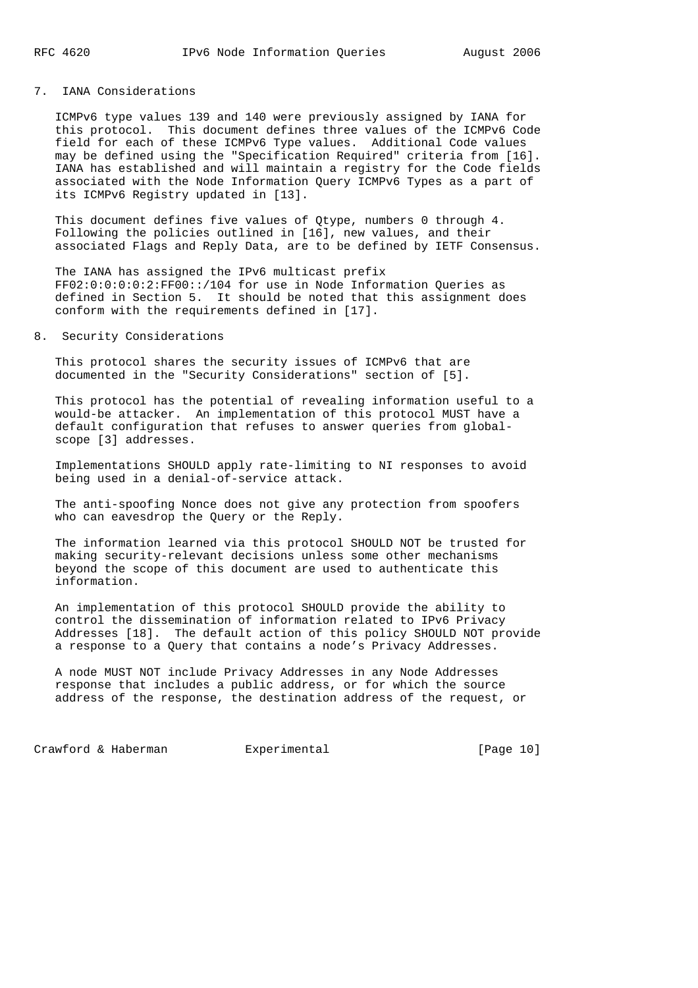# 7. IANA Considerations

 ICMPv6 type values 139 and 140 were previously assigned by IANA for this protocol. This document defines three values of the ICMPv6 Code field for each of these ICMPv6 Type values. Additional Code values may be defined using the "Specification Required" criteria from [16]. IANA has established and will maintain a registry for the Code fields associated with the Node Information Query ICMPv6 Types as a part of its ICMPv6 Registry updated in [13].

 This document defines five values of Qtype, numbers 0 through 4. Following the policies outlined in [16], new values, and their associated Flags and Reply Data, are to be defined by IETF Consensus.

 The IANA has assigned the IPv6 multicast prefix FF02:0:0:0:0:2:FF00::/104 for use in Node Information Queries as defined in Section 5. It should be noted that this assignment does conform with the requirements defined in [17].

### 8. Security Considerations

 This protocol shares the security issues of ICMPv6 that are documented in the "Security Considerations" section of [5].

 This protocol has the potential of revealing information useful to a would-be attacker. An implementation of this protocol MUST have a default configuration that refuses to answer queries from global scope [3] addresses.

 Implementations SHOULD apply rate-limiting to NI responses to avoid being used in a denial-of-service attack.

 The anti-spoofing Nonce does not give any protection from spoofers who can eavesdrop the Query or the Reply.

 The information learned via this protocol SHOULD NOT be trusted for making security-relevant decisions unless some other mechanisms beyond the scope of this document are used to authenticate this information.

 An implementation of this protocol SHOULD provide the ability to control the dissemination of information related to IPv6 Privacy Addresses [18]. The default action of this policy SHOULD NOT provide a response to a Query that contains a node's Privacy Addresses.

 A node MUST NOT include Privacy Addresses in any Node Addresses response that includes a public address, or for which the source address of the response, the destination address of the request, or

Crawford & Haberman Experimental [Page 10]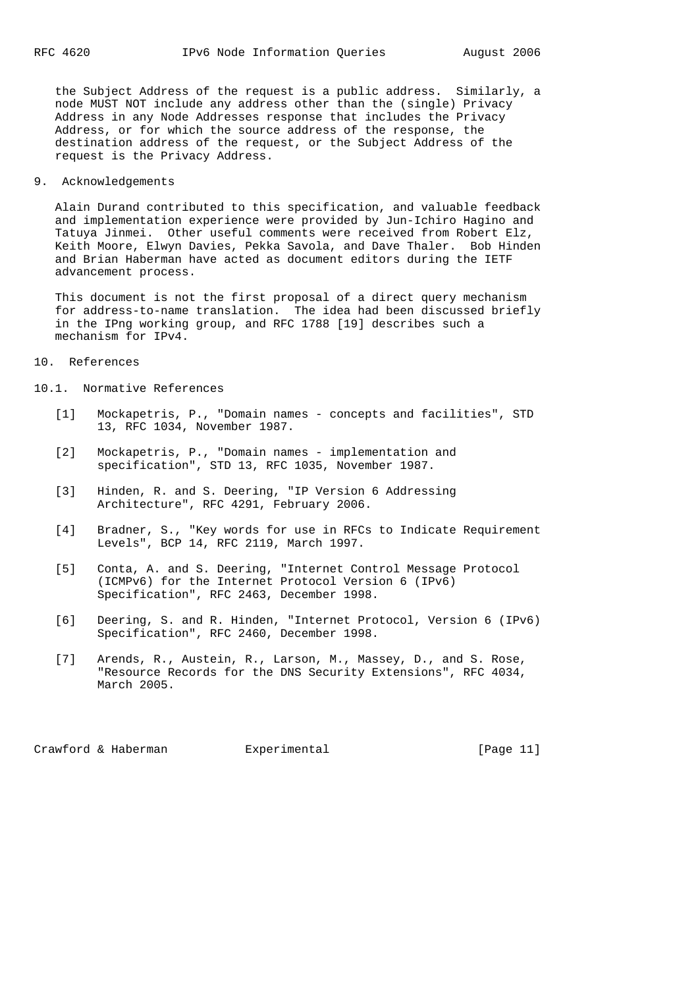the Subject Address of the request is a public address. Similarly, a node MUST NOT include any address other than the (single) Privacy Address in any Node Addresses response that includes the Privacy Address, or for which the source address of the response, the destination address of the request, or the Subject Address of the request is the Privacy Address.

9. Acknowledgements

 Alain Durand contributed to this specification, and valuable feedback and implementation experience were provided by Jun-Ichiro Hagino and Tatuya Jinmei. Other useful comments were received from Robert Elz, Keith Moore, Elwyn Davies, Pekka Savola, and Dave Thaler. Bob Hinden and Brian Haberman have acted as document editors during the IETF advancement process.

 This document is not the first proposal of a direct query mechanism for address-to-name translation. The idea had been discussed briefly in the IPng working group, and RFC 1788 [19] describes such a mechanism for IPv4.

10. References

10.1. Normative References

- [1] Mockapetris, P., "Domain names concepts and facilities", STD 13, RFC 1034, November 1987.
- [2] Mockapetris, P., "Domain names implementation and specification", STD 13, RFC 1035, November 1987.
- [3] Hinden, R. and S. Deering, "IP Version 6 Addressing Architecture", RFC 4291, February 2006.
- [4] Bradner, S., "Key words for use in RFCs to Indicate Requirement Levels", BCP 14, RFC 2119, March 1997.
- [5] Conta, A. and S. Deering, "Internet Control Message Protocol (ICMPv6) for the Internet Protocol Version 6 (IPv6) Specification", RFC 2463, December 1998.
- [6] Deering, S. and R. Hinden, "Internet Protocol, Version 6 (IPv6) Specification", RFC 2460, December 1998.
- [7] Arends, R., Austein, R., Larson, M., Massey, D., and S. Rose, "Resource Records for the DNS Security Extensions", RFC 4034, March 2005.

Crawford & Haberman Experimental [Page 11]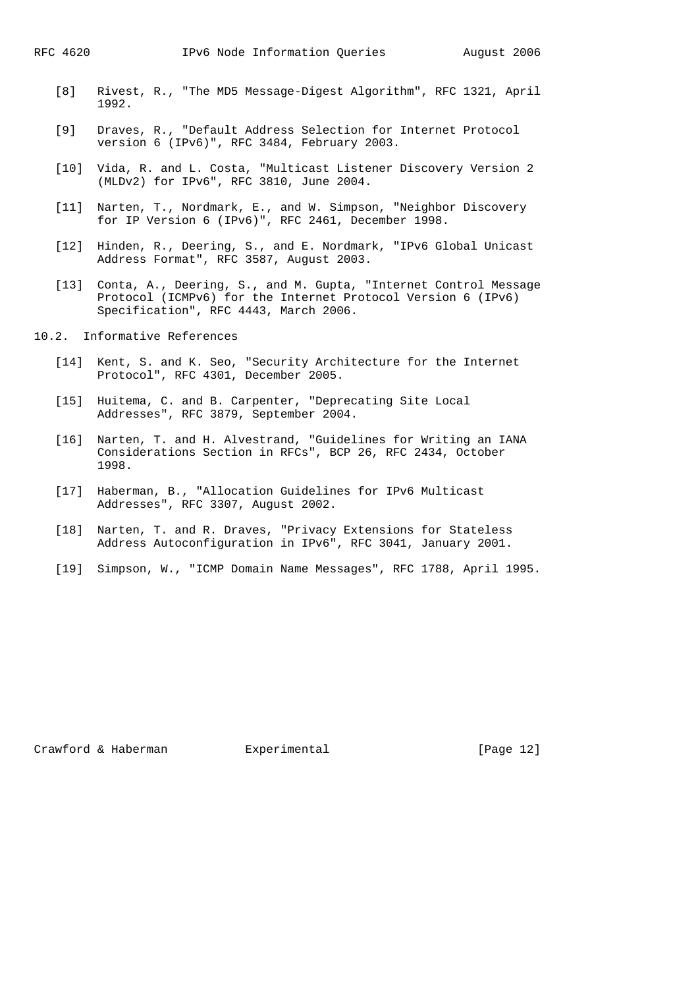- [8] Rivest, R., "The MD5 Message-Digest Algorithm", RFC 1321, April 1992.
- [9] Draves, R., "Default Address Selection for Internet Protocol version 6 (IPv6)", RFC 3484, February 2003.
- [10] Vida, R. and L. Costa, "Multicast Listener Discovery Version 2 (MLDv2) for IPv6", RFC 3810, June 2004.
- [11] Narten, T., Nordmark, E., and W. Simpson, "Neighbor Discovery for IP Version 6 (IPv6)", RFC 2461, December 1998.
- [12] Hinden, R., Deering, S., and E. Nordmark, "IPv6 Global Unicast Address Format", RFC 3587, August 2003.
- [13] Conta, A., Deering, S., and M. Gupta, "Internet Control Message Protocol (ICMPv6) for the Internet Protocol Version 6 (IPv6) Specification", RFC 4443, March 2006.
- 10.2. Informative References
	- [14] Kent, S. and K. Seo, "Security Architecture for the Internet Protocol", RFC 4301, December 2005.
	- [15] Huitema, C. and B. Carpenter, "Deprecating Site Local Addresses", RFC 3879, September 2004.
	- [16] Narten, T. and H. Alvestrand, "Guidelines for Writing an IANA Considerations Section in RFCs", BCP 26, RFC 2434, October 1998.
	- [17] Haberman, B., "Allocation Guidelines for IPv6 Multicast Addresses", RFC 3307, August 2002.
	- [18] Narten, T. and R. Draves, "Privacy Extensions for Stateless Address Autoconfiguration in IPv6", RFC 3041, January 2001.
	- [19] Simpson, W., "ICMP Domain Name Messages", RFC 1788, April 1995.

Crawford & Haberman Experimental [Page 12]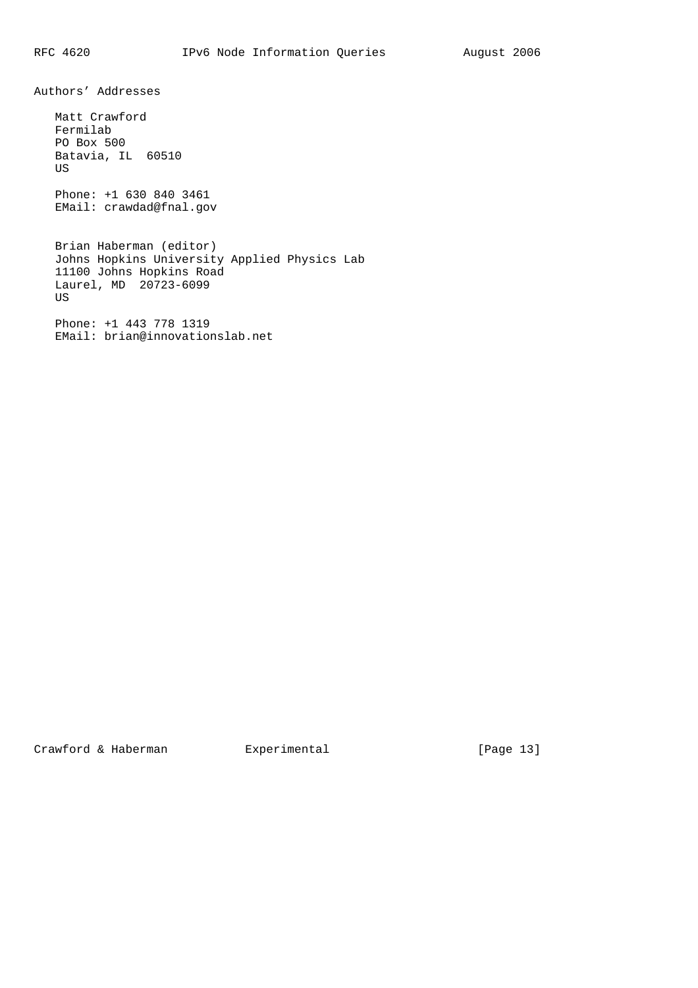Authors' Addresses

 Matt Crawford Fermilab PO Box 500 Batavia, IL 60510 US Phone: +1 630 840 3461 EMail: crawdad@fnal.gov Brian Haberman (editor) Johns Hopkins University Applied Physics Lab 11100 Johns Hopkins Road Laurel, MD 20723-6099 US Phone: +1 443 778 1319 EMail: brian@innovationslab.net

Crawford & Haberman Experimental [Page 13]